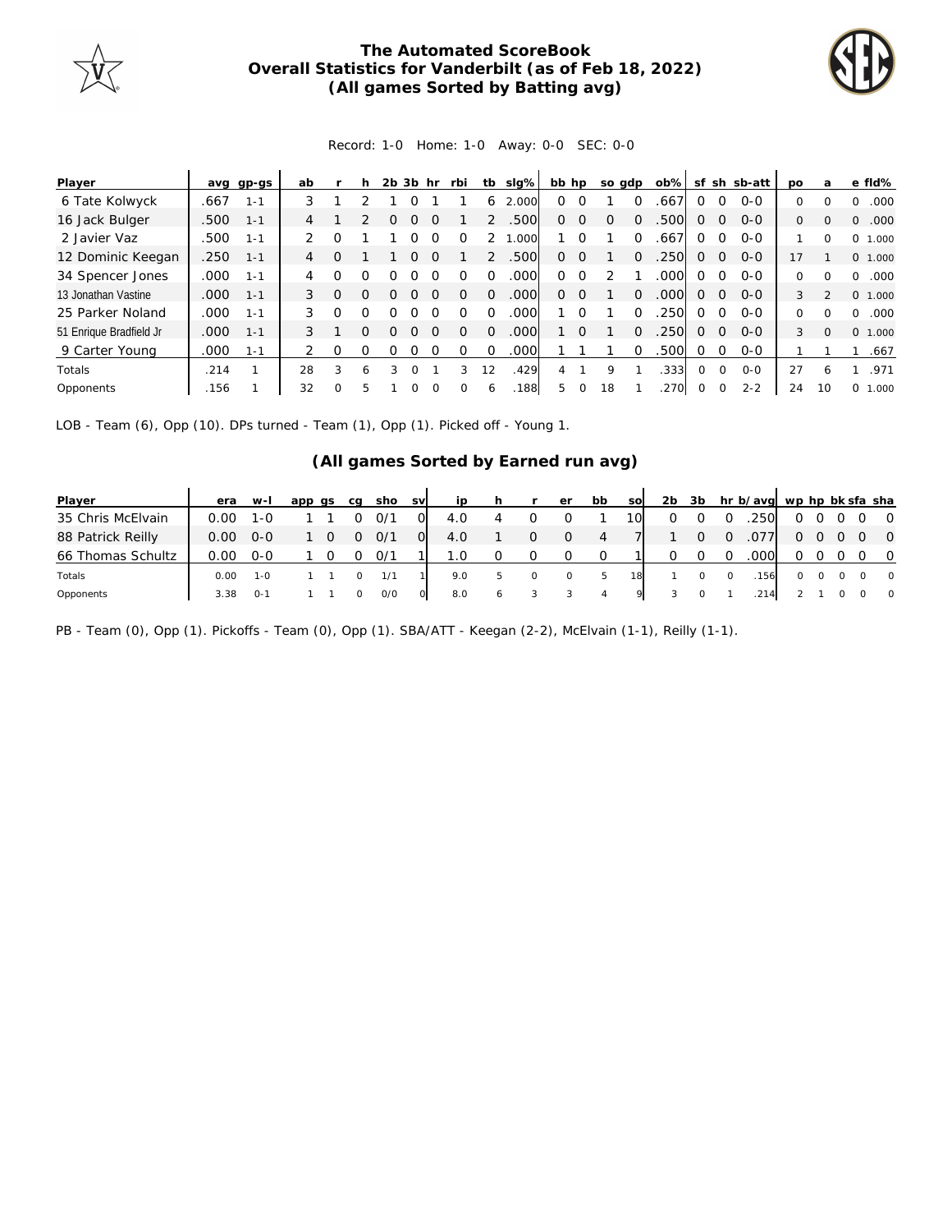

## **The Automated ScoreBook Overall Statistics for Vanderbilt (as of Feb 18, 2022) (All games Sorted by Batting avg)**



## Record: 1-0 Home: 1-0 Away: 0-0 SEC: 0-0

| Player                  |      | avg gp-gs | ab             |          |   | 2b | 3b hr | rbi | tb | slg%  | bb hp |                  |    | so gdp   | ob%  |          |          | sf sh sb-att | po       | a            | e fld%           |
|-------------------------|------|-----------|----------------|----------|---|----|-------|-----|----|-------|-------|------------------|----|----------|------|----------|----------|--------------|----------|--------------|------------------|
| 6 Tate Kolwyck          | .667 | $1 - 1$   | 3              |          |   |    |       |     | 6  | 2.000 | 0     | ∩                |    |          | .667 | $\Omega$ | $\Omega$ | $O-O$        | 0        | $\Omega$     | .000<br>0        |
| 16 Jack Bulger          | .500 | $1 - 1$   | 4              |          |   |    |       |     |    | .500  | 0.    | $\Omega$         |    |          | 500  | $\Omega$ | $\Omega$ | $O-O$        | 0        | $\Omega$     | .000<br>0        |
| 2 Javier Vaz            | .500 | $1 - 1$   | $\mathcal{P}$  |          |   |    |       |     |    | .000  |       |                  |    |          | .667 | $\Omega$ | $\Omega$ | $O-O$        |          | <sup>0</sup> | 0<br>1.000       |
| 12 Dominic Keegan       | .250 | $1 - 1$   | $\overline{4}$ |          |   |    |       |     |    | .500  | 0     | $\left( \right)$ |    |          | 250  | O        | $\Omega$ | $O-O$        | 17       |              | 0 1.000          |
| 34 Spencer Jones        | .000 | $1 - 1$   | 4              |          |   |    |       |     |    | .000  | 0     | $\left( \right)$ |    |          | .000 | Ω        | $\Omega$ | $O-O$        | $\Omega$ |              | .000<br>0        |
| 13 Jonathan Vastine     | .000 | $1 - 1$   | 3              | $\Omega$ |   |    |       |     |    | .000  | 0     | <sup>()</sup>    |    |          | .000 | $\Omega$ | 0        | $O - O$      | 3        |              | 0 1.000          |
| 25 Parker Noland        | .000 | $1 - 1$   | 3              | Ω        |   |    |       |     |    | .000  |       |                  |    |          | 250  | O        | $\Omega$ | $O-O$        | 0        | ∩            | .000<br>$\Omega$ |
| 51 Enrique Bradfield Jr | .000 | $1 - 1$   | 3              |          | 0 | ∩  | Ω     |     |    | .000  |       | $\Omega$         |    | $\Omega$ | .250 | $\Omega$ | $\Omega$ | $O-O$        | 3        | $\Omega$     | 0 1.000          |
| 9 Carter Young          | .000 | $1 - 1$   |                | Ω        |   |    |       |     |    | .000  |       |                  |    |          | 500  | $\Omega$ | $\Omega$ | $O - O$      |          |              | .667             |
| Totals                  | .214 |           | 28             | 3        | 6 |    | O     | 3   | 12 | .429  | 4     |                  | 9  |          | .333 | $\Omega$ | $\Omega$ | $O-O$        | 27       | 6            | .971             |
| Opponents               | .156 |           | 32             | $\Omega$ | 5 |    |       |     | 6  | .188  | 5     | 0                | 18 |          | .270 | $\Omega$ | $\Omega$ | $2 - 2$      | 24       | 10           | 0<br>1.000       |

LOB - Team (6), Opp (10). DPs turned - Team (1), Opp (1). Picked off - Young 1.

## **(All games Sorted by Earned run avg)**

| Player            | era  | $W-I$   | app qs | ca | sho svl |                | ip  | h. |          | er       | bb  | <b>SO</b> | 2b | -3b |          | hr b/avg wp hp bk sfa sha |         |         |            |                         |
|-------------------|------|---------|--------|----|---------|----------------|-----|----|----------|----------|-----|-----------|----|-----|----------|---------------------------|---------|---------|------------|-------------------------|
| 35 Chris McElvain | 0.00 | 1-0     |        |    | 0/1     |                | 4.0 |    |          |          |     | 10I       |    |     |          | .250                      | 0       |         |            | $\overline{0}$          |
| 88 Patrick Reilly | 0.00 | $O-O$   |        | Ω  | O/1     | $\overline{O}$ | 4.0 |    | 0        | 0        | 4   |           |    |     | $\Omega$ | .077                      | 0       |         |            | $\overline{0}$          |
| 66 Thomas Schultz | 0.00 | $O-O$   |        |    | 0/1     |                | 1.0 |    | $\Omega$ | $\Omega$ | - 0 |           |    |     |          | .000 <sub>1</sub>         | Ω       |         | $0\quad 0$ |                         |
| Totals            | 0.00 | $1 - 0$ |        |    | 1/1     |                | 9.0 | 5  | $\circ$  | $\circ$  | 5   | 18        |    |     | $\circ$  | 156                       | $\circ$ | $\circ$ | $\circ$    | $\overline{0}$          |
| Opponents         | 3.38 | ົດ-1    |        |    | O/O     | $\circ$        | 8.0 | 6  |          |          | 4   | 9.        |    |     |          | .214                      |         |         |            | $\overline{\mathbf{0}}$ |

PB - Team (0), Opp (1). Pickoffs - Team (0), Opp (1). SBA/ATT - Keegan (2-2), McElvain (1-1), Reilly (1-1).